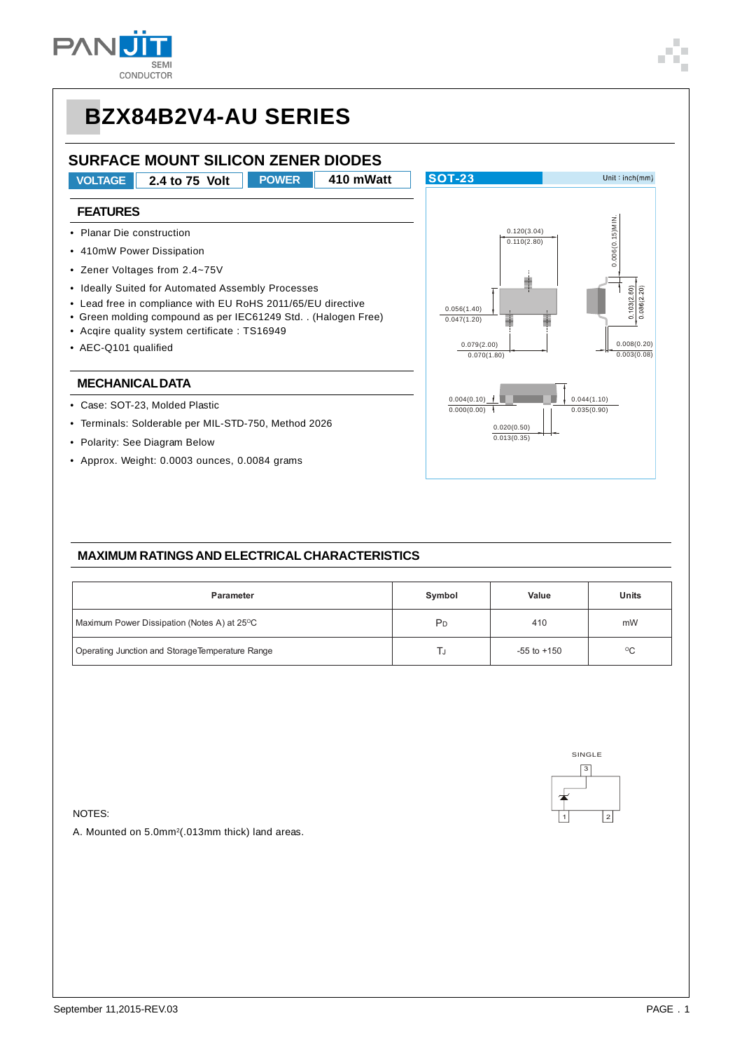

### **SURFACE MOUNT SILICON ZENER DIODES**

**VOLTAGE 2.4 to 75 Volt POWER 410 mWatt**

### **FEATURES**

- Planar Die construction
- 410mW Power Dissipation
- Zener Voltages from 2.4~75V
- Ideally Suited for Automated Assembly Processes
- Lead free in compliance with EU RoHS 2011/65/EU directive
- Green molding compound as per IEC61249 Std. . (Halogen Free)
- Acqire quality system certificate : TS16949
- AEC-Q101 qualified

#### **MECHANICAL DATA**

- Case: SOT-23, Molded Plastic
- Terminals: Solderable per MIL-STD-750, Method 2026
- Polarity: See Diagram Below
- Approx. Weight: 0.0003 ounces, 0.0084 grams



#### **MAXIMUM RATINGS AND ELECTRICAL CHARACTERISTICS**

| <b>Parameter</b>                                | Symbol         | Value           | Units |  |
|-------------------------------------------------|----------------|-----------------|-------|--|
| Maximum Power Dissipation (Notes A) at 25°C     | P <sub>D</sub> | 410             |       |  |
| Operating Junction and StorageTemperature Range |                | $-55$ to $+150$ | °C    |  |



NOTES:

A. Mounted on 5.0mm<sup>2</sup>(.013mm thick) land areas.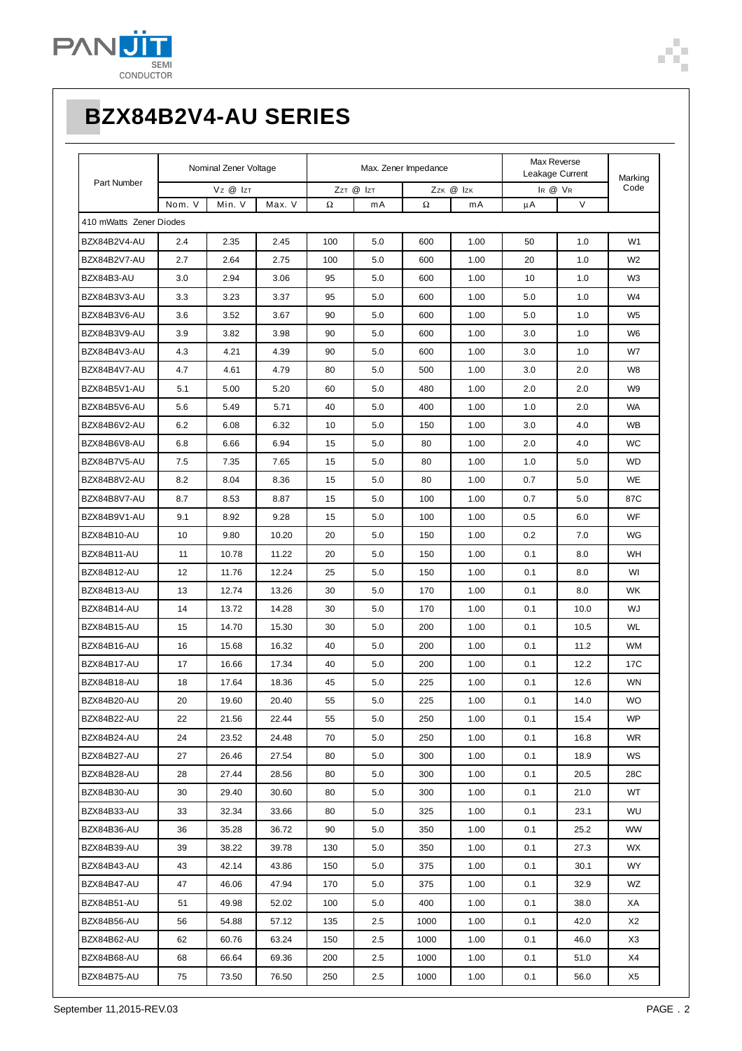

| Part Number             | Nominal Zener Voltage |        | Max. Zener Impedance |           |     |           | Max Reverse<br>Leakage Current |         | Marking |                |
|-------------------------|-----------------------|--------|----------------------|-----------|-----|-----------|--------------------------------|---------|---------|----------------|
|                         | Vz @ IzT              |        |                      | ZzT @ IzT |     | Zzk @ Izk |                                | IR @ VR |         | Code           |
|                         | Nom. V                | Min. V | Max. V               | Ω         | mA  | Ω         | mA                             | μA      | V       |                |
| 410 mWatts Zener Diodes |                       |        |                      |           |     |           |                                |         |         |                |
| BZX84B2V4-AU            | 2.4                   | 2.35   | 2.45                 | 100       | 5.0 | 600       | 1.00                           | 50      | 1.0     | W <sub>1</sub> |
| BZX84B2V7-AU            | 2.7                   | 2.64   | 2.75                 | 100       | 5.0 | 600       | 1.00                           | 20      | 1.0     | W <sub>2</sub> |
| BZX84B3-AU              | 3.0                   | 2.94   | 3.06                 | 95        | 5.0 | 600       | 1.00                           | 10      | 1.0     | W <sub>3</sub> |
| BZX84B3V3-AU            | 3.3                   | 3.23   | 3.37                 | 95        | 5.0 | 600       | 1.00                           | 5.0     | 1.0     | W4             |
| BZX84B3V6-AU            | 3.6                   | 3.52   | 3.67                 | 90        | 5.0 | 600       | 1.00                           | 5.0     | 1.0     | W <sub>5</sub> |
| BZX84B3V9-AU            | 3.9                   | 3.82   | 3.98                 | 90        | 5.0 | 600       | 1.00                           | 3.0     | 1.0     | W <sub>6</sub> |
| BZX84B4V3-AU            | 4.3                   | 4.21   | 4.39                 | 90        | 5.0 | 600       | 1.00                           | 3.0     | 1.0     | W7             |
| BZX84B4V7-AU            | 4.7                   | 4.61   | 4.79                 | 80        | 5.0 | 500       | 1.00                           | 3.0     | 2.0     | W8             |
| BZX84B5V1-AU            | 5.1                   | 5.00   | 5.20                 | 60        | 5.0 | 480       | 1.00                           | 2.0     | 2.0     | W <sub>9</sub> |
| BZX84B5V6-AU            | 5.6                   | 5.49   | 5.71                 | 40        | 5.0 | 400       | 1.00                           | 1.0     | 2.0     | <b>WA</b>      |
| BZX84B6V2-AU            | 6.2                   | 6.08   | 6.32                 | 10        | 5.0 | 150       | 1.00                           | 3.0     | 4.0     | <b>WB</b>      |
| BZX84B6V8-AU            | 6.8                   | 6.66   | 6.94                 | 15        | 5.0 | 80        | 1.00                           | 2.0     | 4.0     | <b>WC</b>      |
| BZX84B7V5-AU            | 7.5                   | 7.35   | 7.65                 | 15        | 5.0 | 80        | 1.00                           | 1.0     | 5.0     | WD             |
| BZX84B8V2-AU            | 8.2                   | 8.04   | 8.36                 | 15        | 5.0 | 80        | 1.00                           | 0.7     | 5.0     | <b>WE</b>      |
| BZX84B8V7-AU            | 8.7                   | 8.53   | 8.87                 | 15        | 5.0 | 100       | 1.00                           | 0.7     | 5.0     | 87C            |
| BZX84B9V1-AU            | 9.1                   | 8.92   | 9.28                 | 15        | 5.0 | 100       | 1.00                           | 0.5     | 6.0     | WF             |
| BZX84B10-AU             | 10                    | 9.80   | 10.20                | 20        | 5.0 | 150       | 1.00                           | 0.2     | 7.0     | WG             |
| BZX84B11-AU             | 11                    | 10.78  | 11.22                | 20        | 5.0 | 150       | 1.00                           | 0.1     | 8.0     | WH             |
| BZX84B12-AU             | 12                    | 11.76  | 12.24                | 25        | 5.0 | 150       | 1.00                           | 0.1     | 8.0     | WI             |
| BZX84B13-AU             | 13                    | 12.74  | 13.26                | 30        | 5.0 | 170       | 1.00                           | 0.1     | 8.0     | <b>WK</b>      |
| BZX84B14-AU             | 14                    | 13.72  | 14.28                | 30        | 5.0 | 170       | 1.00                           | 0.1     | 10.0    | WJ             |
| BZX84B15-AU             | 15                    | 14.70  | 15.30                | 30        | 5.0 | 200       | 1.00                           | 0.1     | 10.5    | <b>WL</b>      |
| BZX84B16-AU             | 16                    | 15.68  | 16.32                | 40        | 5.0 | 200       | 1.00                           | 0.1     | 11.2    | WM             |
| BZX84B17-AU             | 17                    | 16.66  | 17.34                | 40        | 5.0 | 200       | 1.00                           | 0.1     | 12.2    | 17C            |
| BZX84B18-AU             | 18                    | 17.64  | 18.36                | 45        | 5.0 | 225       | 1.00                           | 0.1     | 12.6    | <b>WN</b>      |
| BZX84B20-AU             | 20                    | 19.60  | 20.40                | 55        | 5.0 | 225       | 1.00                           | 0.1     | 14.0    | <b>WO</b>      |
| BZX84B22-AU             | 22                    | 21.56  | 22.44                | 55        | 5.0 | 250       | 1.00                           | 0.1     | 15.4    | <b>WP</b>      |
| BZX84B24-AU             | 24                    | 23.52  | 24.48                | 70        | 5.0 | 250       | 1.00                           | 0.1     | 16.8    | WR.            |
| BZX84B27-AU             | 27                    | 26.46  | 27.54                | 80        | 5.0 | 300       | 1.00                           | 0.1     | 18.9    | WS             |
| BZX84B28-AU             | 28                    | 27.44  | 28.56                | 80        | 5.0 | 300       | 1.00                           | 0.1     | 20.5    | 28C            |
| BZX84B30-AU             | 30                    | 29.40  | 30.60                | 80        | 5.0 | 300       | 1.00                           | 0.1     | 21.0    | WT             |
| BZX84B33-AU             | 33                    | 32.34  | 33.66                | 80        | 5.0 | 325       | 1.00                           | 0.1     | 23.1    | WU             |
| BZX84B36-AU             | 36                    | 35.28  | 36.72                | 90        | 5.0 | 350       | 1.00                           | 0.1     | 25.2    | <b>WW</b>      |
| BZX84B39-AU             | 39                    | 38.22  | 39.78                | 130       | 5.0 | 350       | 1.00                           | 0.1     | 27.3    | WX.            |
| BZX84B43-AU             | 43                    | 42.14  | 43.86                | 150       | 5.0 | 375       | 1.00                           | 0.1     | 30.1    | WY             |
| BZX84B47-AU             | 47                    | 46.06  | 47.94                | 170       | 5.0 | 375       | 1.00                           | 0.1     | 32.9    | WZ             |
| BZX84B51-AU             | 51                    | 49.98  | 52.02                | 100       | 5.0 | 400       | 1.00                           | 0.1     | 38.0    | XA             |
| BZX84B56-AU             | 56                    | 54.88  | 57.12                | 135       | 2.5 | 1000      | 1.00                           | 0.1     | 42.0    | X2             |
| BZX84B62-AU             | 62                    | 60.76  | 63.24                | 150       | 2.5 | 1000      | 1.00                           | 0.1     | 46.0    | X3             |
| BZX84B68-AU             | 68                    | 66.64  | 69.36                | 200       | 2.5 | 1000      | 1.00                           | 0.1     | 51.0    | X4             |
| BZX84B75-AU             | 75                    | 73.50  | 76.50                | 250       | 2.5 | 1000      | 1.00                           | 0.1     | 56.0    | X5             |

T Ė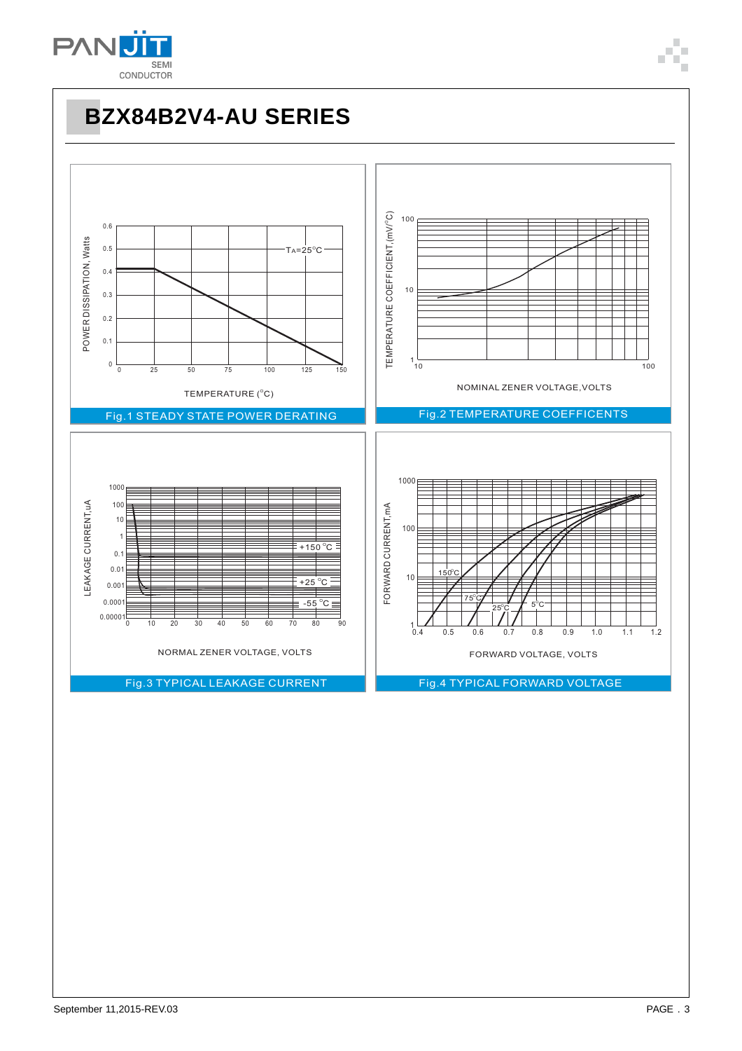

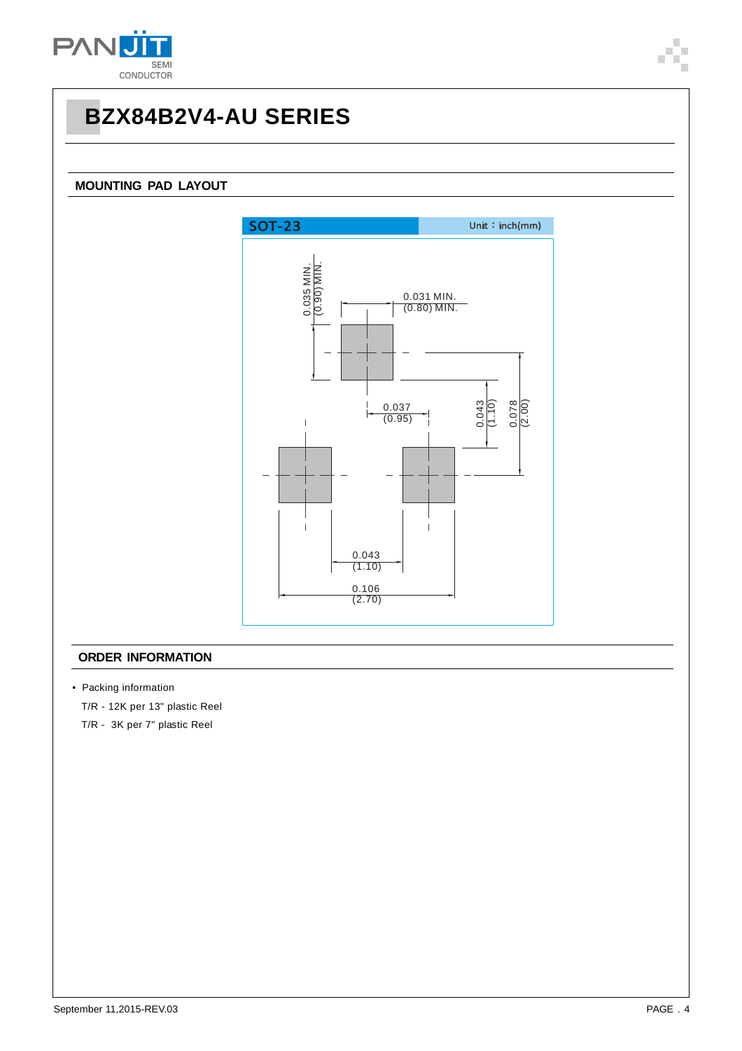

### **MOUNTING PAD LAYOUT**



### **ORDER INFORMATION**

- Packing information
	- T/R 12K per 13" plastic Reel

T/R - 3K per 7" plastic Reel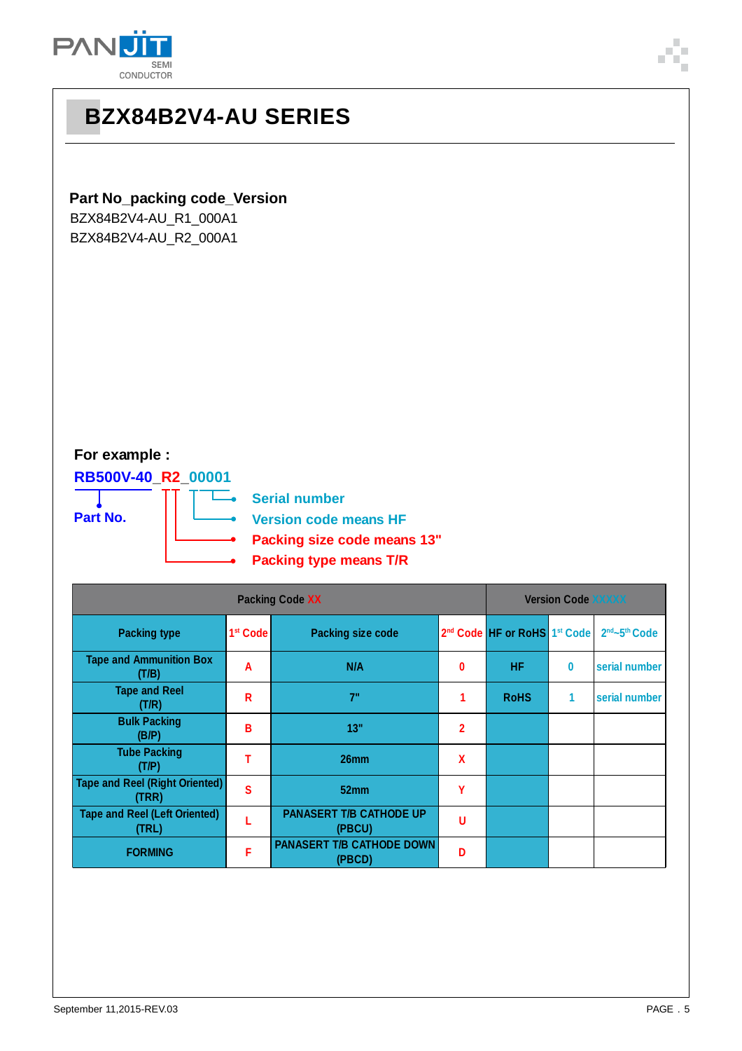

### **Part No\_packing code\_Version**

BZX84B2V4-AU\_R1\_000A1 BZX84B2V4-AU\_R2\_000A1

### **For example :**

**RB500V-40\_R2\_00001**

**Part No.**

**Serial number**

l.

- **Version code means HF Packing size code means 13"**
	- **Packing type means T/R**

| <b>Packing Code XX</b>                         |                      |                                            |                |                                                      | <b>Version Code XXXXX</b> |               |  |  |
|------------------------------------------------|----------------------|--------------------------------------------|----------------|------------------------------------------------------|---------------------------|---------------|--|--|
| <b>Packing type</b>                            | 1 <sup>st</sup> Code | <b>Packing size code</b>                   |                | 2 <sup>nd</sup> Code HF or RoHS 1 <sup>st</sup> Code |                           | 2nd~5th Code  |  |  |
| <b>Tape and Ammunition Box</b><br>(T/B)        | A                    | N/A                                        | 0              | <b>HF</b>                                            | $\bf{0}$                  | serial number |  |  |
| <b>Tape and Reel</b><br>(T/R)                  | R                    | 7"                                         |                | <b>RoHS</b>                                          | 1                         | serial number |  |  |
| <b>Bulk Packing</b><br>(B/P)                   | B                    | 13"                                        | $\overline{2}$ |                                                      |                           |               |  |  |
| <b>Tube Packing</b><br>(T/P)                   | т                    | 26mm                                       | X              |                                                      |                           |               |  |  |
| <b>Tape and Reel (Right Oriented)</b><br>(TRR) | S                    | 52mm                                       | Υ              |                                                      |                           |               |  |  |
| <b>Tape and Reel (Left Oriented)</b><br>(TRL)  |                      | <b>PANASERT T/B CATHODE UP</b><br>(PBCU)   | U              |                                                      |                           |               |  |  |
| <b>FORMING</b>                                 | F                    | <b>PANASERT T/B CATHODE DOWN</b><br>(PBCD) | D              |                                                      |                           |               |  |  |